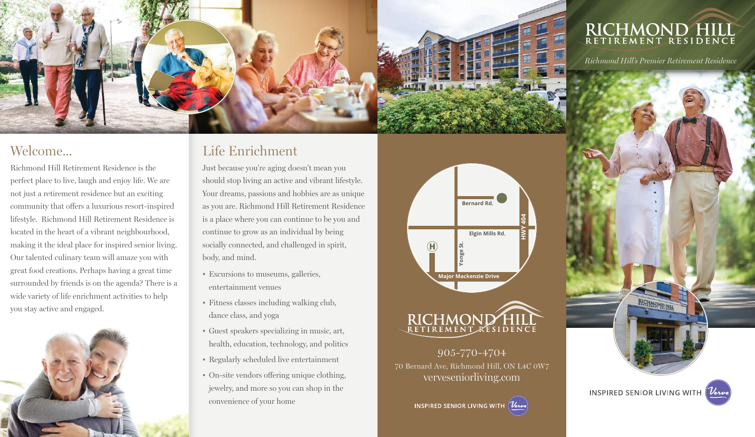

#### Welcome...

Richmond Hill Retirement Residence is the perfect place to live, laugh and enjoy life. We are not just a retirement residence but an exciting community that offers a luxurious resort-inspired lifestyle. Richmond Hill Retirement Residence is located in the heart of a vibrant neighbourhood, making it the ideal place for inspired senior living. Our talented culinary team will amaze you with great food creations. Perhaps having a great time surrounded by friends is on the agenda? There is a wide variety of life enrichment activities to help you stay active and engaged.



#### Life Enrichment

Just because you're aging doesn't mean you should stop living an active and vibrant lifestyle. Your dreams, passions and hobbies are as unique as you are. Richmond Hill Retirement Residence is a place where you can continue to be you and continue to grow as an individual by being socially connected, and challenged in spirit, body, and mind.

- Excursions to museums, galleries, entertainment venues
- Fitness classes including walking club, dance class, and yoga
- Guest speakers specializing in music, art, health, education, technology, and politics
- Regularly scheduled live entertainment
- On-site vendors offering unique clothing, jewelry, and more so you can shop in the convenience of your home





905-770-4704 70 Bernard Ave, Richmond Hill, ON L4C 0W7



# RICHMOND HILL

*Richmond Hill's Premier Retirement Residence*

**INSPIRED SENIOR LIVING WITH**